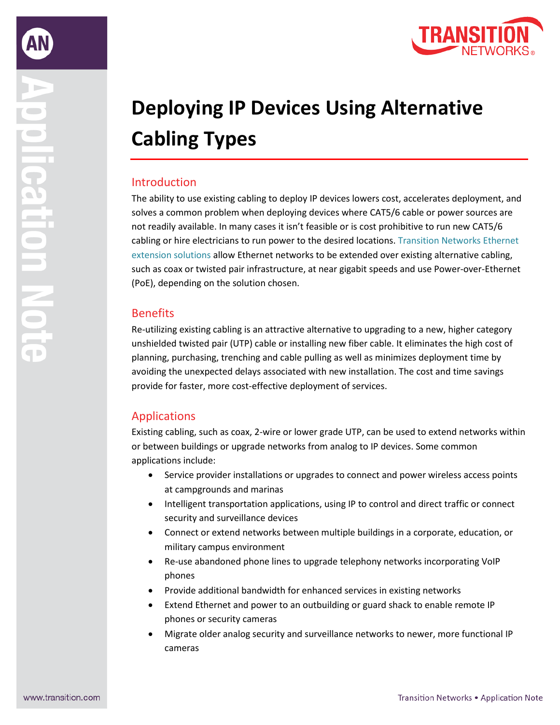

# **Deploying IP Devices Using Alternative Cabling Types**

## Introduction

The ability to use existing cabling to deploy IP devices lowers cost, accelerates deployment, and solves a common problem when deploying devices where CAT5/6 cable or power sources are not readily available. In many cases it isn't feasible or is cost prohibitive to run new CAT5/6 cabling or hire electricians to run power to the desired locations. [Transition Networks Ethernet](https://www.transition.com/alternative-cable-type-solutions/)  [extension solutions](https://www.transition.com/alternative-cable-type-solutions/) allow Ethernet networks to be extended over existing alternative cabling, such as coax or twisted pair infrastructure, at near gigabit speeds and use Power-over-Ethernet (PoE), depending on the solution chosen.

## **Benefits**

Re-utilizing existing cabling is an attractive alternative to upgrading to a new, higher category unshielded twisted pair (UTP) cable or installing new fiber cable. It eliminates the high cost of planning, purchasing, trenching and cable pulling as well as minimizes deployment time by avoiding the unexpected delays associated with new installation. The cost and time savings provide for faster, more cost-effective deployment of services.

# Applications

Existing cabling, such as coax, 2-wire or lower grade UTP, can be used to extend networks within or between buildings or upgrade networks from analog to IP devices. Some common applications include:

- Service provider installations or upgrades to connect and power wireless access points at campgrounds and marinas
- Intelligent transportation applications, using IP to control and direct traffic or connect security and surveillance devices
- Connect or extend networks between multiple buildings in a corporate, education, or military campus environment
- Re-use abandoned phone lines to upgrade telephony networks incorporating VoIP phones
- Provide additional bandwidth for enhanced services in existing networks
- Extend Ethernet and power to an outbuilding or guard shack to enable remote IP phones or security cameras
- Migrate older analog security and surveillance networks to newer, more functional IP cameras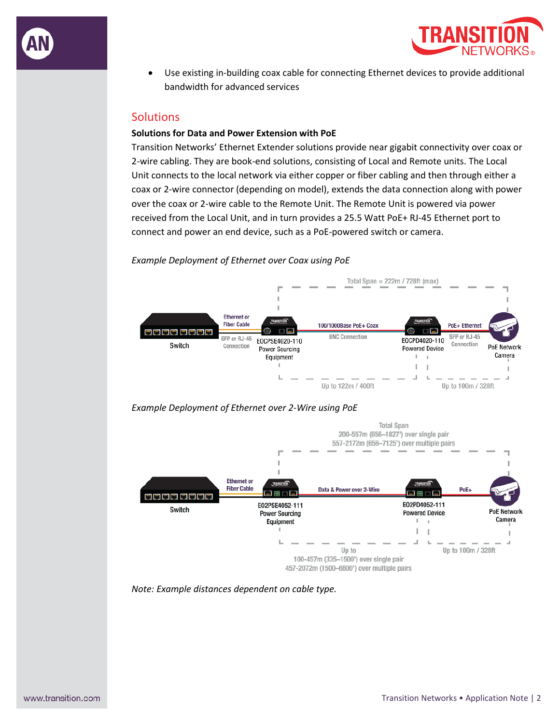



• Use existing in-building coax cable for connecting Ethernet devices to provide additional bandwidth for advanced services

## **Solutions**

#### **Solutions for Data and Power Extension with PoE**

Transition Networks' Ethernet Extender solutions provide near gigabit connectivity over coax or 2-wire cabling. They are book-end solutions, consisting of Local and Remote units. The Local Unit connects to the local network via either copper or fiber cabling and then through either a coax or 2-wire connector (depending on model), extends the data connection along with power over the coax or 2-wire cable to the Remote Unit. The Remote Unit is powered via power received from the Local Unit, and in turn provides a 25.5 Watt PoE+ RJ-45 Ethernet port to connect and power an end device, such as a PoE-powered switch or camera.

#### *Example Deployment of Ethernet over Coax using PoE*



#### *Example Deployment of Ethernet over 2-Wire using PoE*



*Note: Example distances dependent on cable type.*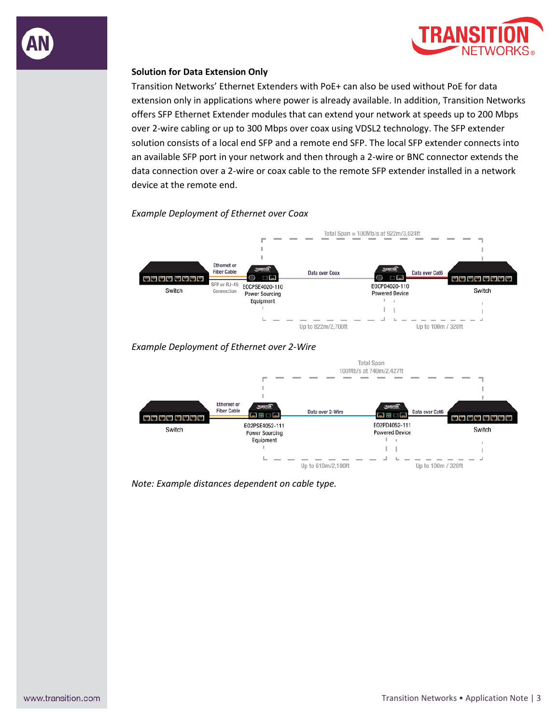

Transition Networks' Ethernet Extenders with PoE+ can also be used without PoE for data extension only in applications where power is already available. In addition, Transition Networks offers SFP Ethernet Extender modules that can extend your network at speeds up to 200 Mbps over 2-wire cabling or up to 300 Mbps over coax using VDSL2 technology. The SFP extender solution consists of a local end SFP and a remote end SFP. The local SFP extender connects into an available SFP port in your network and then through a 2-wire or BNC connector extends the data connection over a 2-wire or coax cable to the remote SFP extender installed in a network device at the remote end.

#### *Example Deployment of Ethernet over Coax*



### *Example Deployment of Ethernet over 2-Wire*



*Note: Example distances dependent on cable type.*